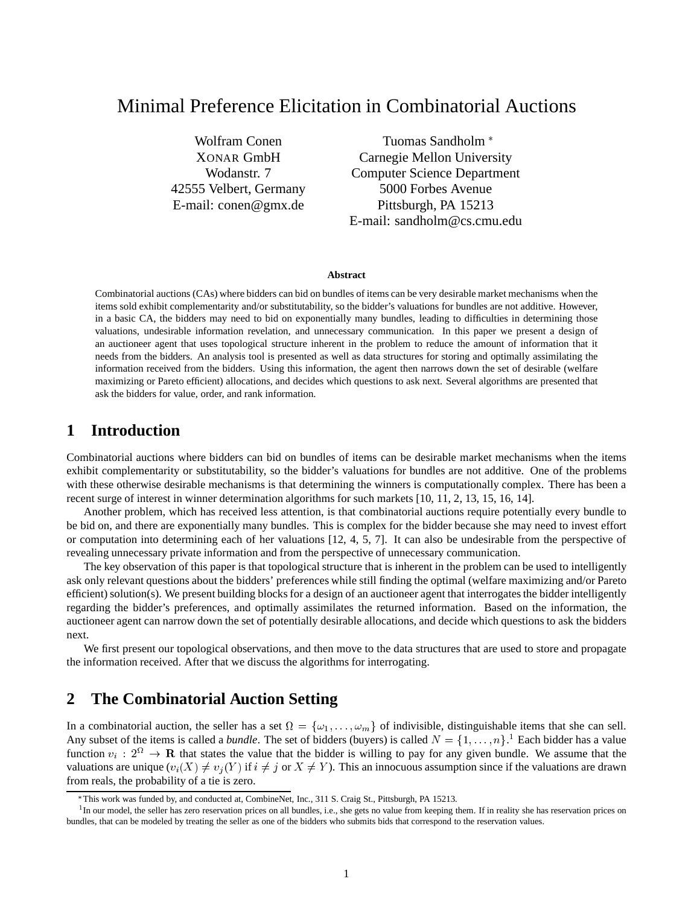# Minimal Preference Elicitation in Combinatorial Auctions

Wolfram Conen XONAR GmbH Wodanstr. 7 42555 Velbert, Germany E-mail: conen@gmx.de

Tuomas Sandholm Carnegie Mellon University Computer Science Department 5000 Forbes Avenue Pittsburgh, PA 15213 E-mail: sandholm@cs.cmu.edu

#### **Abstract**

Combinatorial auctions (CAs) where bidders can bid on bundles of items can be very desirable market mechanisms when the items sold exhibit complementarity and/or substitutability, so the bidder's valuations for bundles are not additive. However, in a basic CA, the bidders may need to bid on exponentially many bundles, leading to difficulties in determining those valuations, undesirable information revelation, and unnecessary communication. In this paper we present a design of an auctioneer agent that uses topological structure inherent in the problem to reduce the amount of information that it needs from the bidders. An analysis tool is presented as well as data structures for storing and optimally assimilating the information received from the bidders. Using this information, the agent then narrows down the set of desirable (welfare maximizing or Pareto efficient) allocations, and decides which questions to ask next. Several algorithms are presented that ask the bidders for value, order, and rank information.

## **1 Introduction**

Combinatorial auctions where bidders can bid on bundles of items can be desirable market mechanisms when the items exhibit complementarity or substitutability, so the bidder's valuations for bundles are not additive. One of the problems with these otherwise desirable mechanisms is that determining the winners is computationally complex. There has been a recent surge of interest in winner determination algorithms for such markets [10, 11, 2, 13, 15, 16, 14].

Another problem, which has received less attention, is that combinatorial auctions require potentially every bundle to be bid on, and there are exponentially many bundles. This is complex for the bidder because she may need to invest effort or computation into determining each of her valuations [12, 4, 5, 7]. It can also be undesirable from the perspective of revealing unnecessary private information and from the perspective of unnecessary communication.

The key observation of this paper is that topological structure that is inherent in the problem can be used to intelligently ask only relevant questions about the bidders' preferences while still finding the optimal (welfare maximizing and/or Pareto efficient) solution(s). We present building blocks for a design of an auctioneer agent that interrogates the bidder intelligently regarding the bidder's preferences, and optimally assimilates the returned information. Based on the information, the auctioneer agent can narrow down the set of potentially desirable allocations, and decide which questions to ask the bidders next.

We first present our topological observations, and then move to the data structures that are used to store and propagate the information received. After that we discuss the algorithms for interrogating.

## **2 The Combinatorial Auction Setting**

In a combinatorial auction, the seller has a set  $\Omega = \{\omega_1, \dots, \omega_m\}$  of indivisible, distinguishable items that she can sell. Any subset of the items is called a *bundle*. The set of bidders (buyers) is called  $N = \{1, \ldots, n\}$ <sup>1</sup> Each bidder has a value function  $v_i : 2^{\Omega} \to \mathbf{R}$  that states the value that the bidder is willing to pay for any given bundle. We assume that the valuations are unique  $(v_i(X) \neq v_j(Y)$  if  $i \neq j$  or  $X \neq Y$ ). This an innocuous assumption since if the valuations are drawn from reals, the probability of a tie is zero.

This work was funded by, and conducted at, CombineNet, Inc., 311 S. Craig St., Pittsburgh, PA 15213.

<sup>&</sup>lt;sup>1</sup>In our model, the seller has zero reservation prices on all bundles, i.e., she gets no value from keeping them. If in reality she has reservation prices on bundles, that can be modeled by treating the seller as one of the bidders who submits bids that correspond to the reservation values.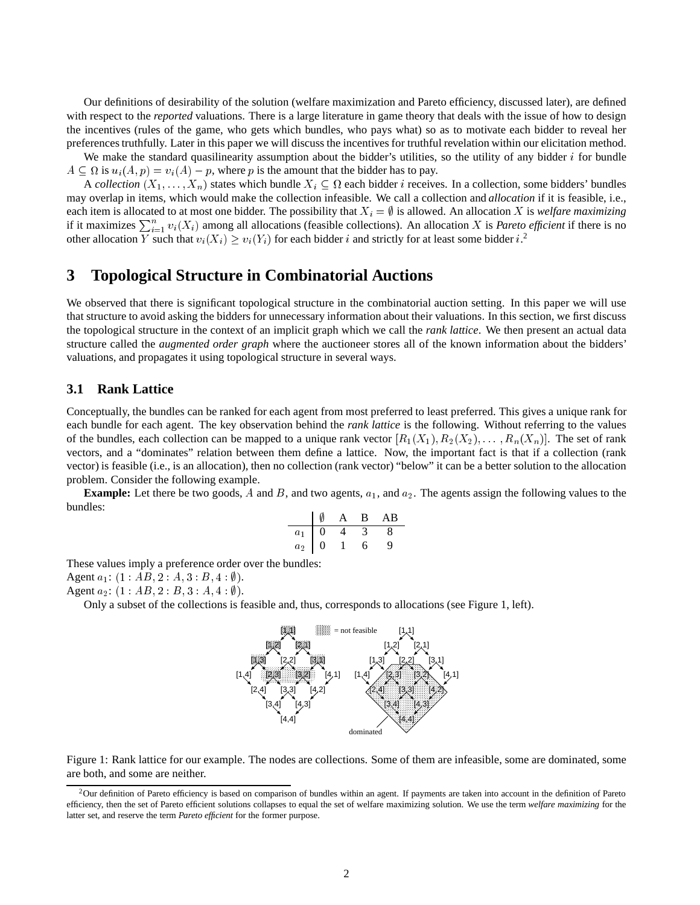Our definitions of desirability of the solution (welfare maximization and Pareto efficiency, discussed later), are defined with respect to the *reported* valuations. There is a large literature in game theory that deals with the issue of how to design the incentives (rules of the game, who gets which bundles, who pays what) so as to motivate each bidder to reveal her preferences truthfully. Later in this paper we will discuss the incentives for truthful revelation within our elicitation method.

We make the standard quasilinearity assumption about the bidder's utilities, so the utility of any bidder  $i$  for bundle A

A *collection*  $(X_1,...,X_n)$  states which bundle  $X_i \subseteq \Omega$  each bidder *i* receives. In a collection, some bidders' bundles  $A \subseteq \Omega$  is  $u_i(A, p) = v_i(A) - p$ , where p is the amount that the bidder has to pay.<br>A collection  $(X_1, \ldots, X_n)$  states which bundle  $X_i \subseteq \Omega$  each bidder *i* receives. In a collection, some bidders' bundles may overlap in items, may overlap in items, which would make the collection infeasible. We call a collection and *allocation* if it is feasible, i.e., if it maximizes  $\sum_{i=1}^{n} v_i(X_i)$  among all allocations (feasible collections). An allocation X is *Pareto efficient* if there is no other allocation Y such that  $v_i(X_i) \ge v_i(Y_i)$  for each bidder i and strictly for at least some bidder i.<sup>2</sup>

### **3 Topological Structure in Combinatorial Auctions**

We observed that there is significant topological structure in the combinatorial auction setting. In this paper we will use that structure to avoid asking the bidders for unnecessary information about their valuations. In this section, we first discuss the topological structure in the context of an implicit graph which we call the *rank lattice*. We then present an actual data structure called the *augmented order graph* where the auctioneer stores all of the known information about the bidders' valuations, and propagates it using topological structure in several ways.

### **3.1 Rank Lattice**

Conceptually, the bundles can be ranked for each agent from most preferred to least preferred. This gives a unique rank for each bundle for each agent. The key observation behind the *rank lattice* is the following. Without referring to the values of the bundles, each collection can be mapped to a unique rank vector  $[R_1(X_1), R_2(X_2), \ldots, R_n(X_n)]$ . The set of rank vectors, and a "dominates" relation between them define a lattice. Now, the important fact is that if a collection (rank vector) is feasible (i.e., is an allocation), then no collection (rank vector) "below" it can be a better solution to the allocation problem. Consider the following example.

**Example:** Let there be two goods, A and B, and two agents,  $a_1$ , and  $a_2$ . The agents assign the following values to the bundles:

$$
\begin{array}{c|cccc}\n & \emptyset & A & B & AB \\
\hline\na_1 & 0 & 4 & 3 & 8 \\
a_2 & 0 & 1 & 6 & 9\n\end{array}
$$

These values imply a preference order over the bundles:

Agent  $a_1$ :  $(1:AB, 2:A, 3:B, 4: \emptyset)$ .  $(1 : AB, 2 : A, 3 : B, 4 : \emptyset).$ <br> $(1 : AB, 2 : B, 3 : A, 4 : \emptyset).$ <br>subset of the collections is fea

Agent  $a_2$ :  $(1 : AB, 2 : B, 3 : A, 4 : \emptyset)$ .  $(1 : AB, 2 : B, 3 : A, 4 : \emptyset).$ <br>subset of the collections is fea

Only a subset of the collections is feasible and, thus, corresponds to allocations (see Figure 1, left).



Figure 1: Rank lattice for our example. The nodes are collections. Some of them are infeasible, some are dominated, some are both, and some are neither.

 ${}^{2}$ Our definition of Pareto efficiency is based on comparison of bundles within an agent. If payments are taken into account in the definition of Pareto efficiency, then the set of Pareto efficient solutions collapses to equal the set of welfare maximizing solution. We use the term *welfare maximizing* for the latter set, and reserve the term *Pareto efficient* for the former purpose.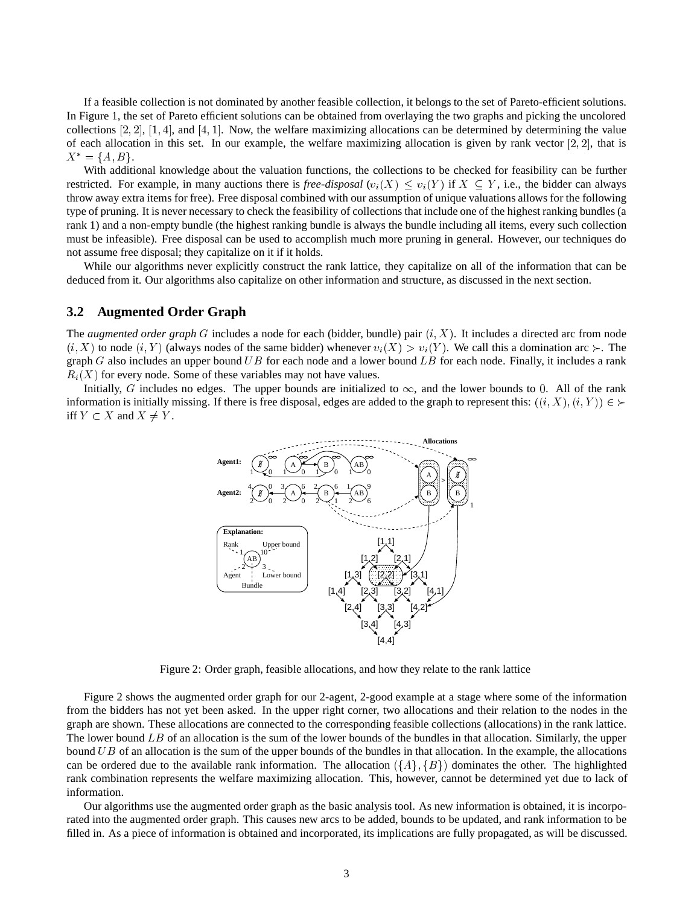If a feasible collection is not dominated by another feasible collection, it belongs to the set of Pareto-efficient solutions. In Figure 1, the set of Pareto efficient solutions can be obtained from overlaying the two graphs and picking the uncolored collections  $[2, 2]$ ,  $[1, 4]$ , and  $[4, 1]$ . Now, the welfare maximizing allocations can be determined by determining the value of each allocation in this set. In our example, the welfare maximizing allocation is given by rank vector  $[2, 2]$ , that is  $X^* = \{A, B\}.$ 

With additional knowledge about the valuation functions, the collections to be checked for feasibility can be further restricted. For example, in many auctions there is *free-disposal*  $(v_i(X) \le v_i(Y)$  if  $X \subseteq Y$ , i.e., the bidder can always throw away extra items for free). Free disposal combined with our assumption of unique valuations allows for the following type of pruning. It is never necessary to check the feasibility of collections that include one of the highest ranking bundles (a rank 1) and a non-empty bundle (the highest ranking bundle is always the bundle including all items, every such collection must be infeasible). Free disposal can be used to accomplish much more pruning in general. However, our techniques do not assume free disposal; they capitalize on it if it holds.

While our algorithms never explicitly construct the rank lattice, they capitalize on all of the information that can be deduced from it. Our algorithms also capitalize on other information and structure, as discussed in the next section.

### **3.2 Augmented Order Graph**

The *augmented order graph* G includes a node for each (bidder, bundle) pair (i; X). It includes a directed arc from node  $(i, X)$  to node  $(i, Y)$  (always nodes of the same bidder) whenever  $v_i(X) > v_i(Y)$ . We call this a domination arc  $\succ$ . The graph G also includes an upper bound UB for each node and a lower bound LB for each node. Finally, it includes a rank  $R_i(X)$  for every node. Some of these variables may not have values.

Initially, G includes no edges. The upper bounds are initialized to  $\infty$ , and the lower bounds to 0. All of the rank information is initially missing. If there is free disposal, edges are added to the graph to represent this:  $((i, X), (i, Y)) \in \mathcal{L}$ iff  $Y \subset X$  and  $X \neq Y$ .



Figure 2: Order graph, feasible allocations, and how they relate to the rank lattice

Figure 2 shows the augmented order graph for our 2-agent, 2-good example at a stage where some of the information from the bidders has not yet been asked. In the upper right corner, two allocations and their relation to the nodes in the graph are shown. These allocations are connected to the corresponding feasible collections (allocations) in the rank lattice. The lower bound LB of an allocation is the sum of the lower bounds of the bundles in that allocation. Similarly, the upper bound UB of an allocation is the sum of the upper bounds of the bundles in that allocation. In the example, the allocations can be ordered due to the available rank information. The allocation  $({A}, {B})$  dominates the other. The highlighted rank combination represents the welfare maximizing allocation. This, however, cannot be determined yet due to lack of information.

Our algorithms use the augmented order graph as the basic analysis tool. As new information is obtained, it is incorporated into the augmented order graph. This causes new arcs to be added, bounds to be updated, and rank information to be filled in. As a piece of information is obtained and incorporated, its implications are fully propagated, as will be discussed.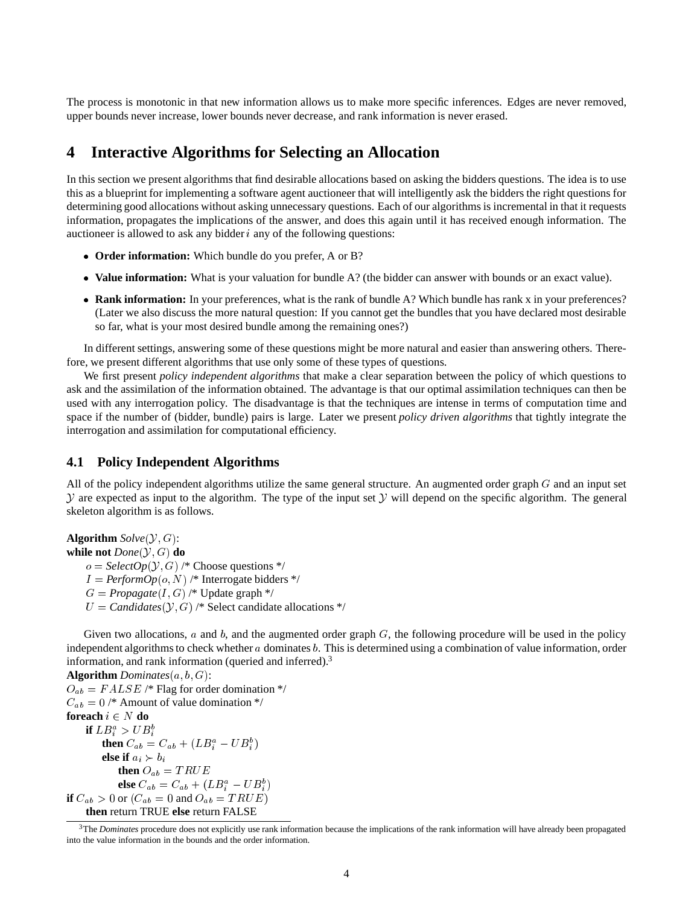The process is monotonic in that new information allows us to make more specific inferences. Edges are never removed, upper bounds never increase, lower bounds never decrease, and rank information is never erased.

## **4 Interactive Algorithms for Selecting an Allocation**

In this section we present algorithms that find desirable allocations based on asking the bidders questions. The idea is to use this as a blueprint for implementing a software agent auctioneer that will intelligently ask the bidders the right questions for determining good allocations without asking unnecessary questions. Each of our algorithms is incremental in that it requests information, propagates the implications of the answer, and does this again until it has received enough information. The auctioneer is allowed to ask any bidder  $i$  any of the following questions:

- **Order information:** Which bundle do you prefer, A or B?
- **Value information:** What is your valuation for bundle A? (the bidder can answer with bounds or an exact value).
- **Rank information:** In your preferences, what is the rank of bundle A? Which bundle has rank x in your preferences? (Later we also discuss the more natural question: If you cannot get the bundles that you have declared most desirable so far, what is your most desired bundle among the remaining ones?)

In different settings, answering some of these questions might be more natural and easier than answering others. Therefore, we present different algorithms that use only some of these types of questions.

We first present *policy independent algorithms* that make a clear separation between the policy of which questions to ask and the assimilation of the information obtained. The advantage is that our optimal assimilation techniques can then be used with any interrogation policy. The disadvantage is that the techniques are intense in terms of computation time and space if the number of (bidder, bundle) pairs is large. Later we present *policy driven algorithms* that tightly integrate the interrogation and assimilation for computational efficiency.

### **4.1 Policy Independent Algorithms**

All of the policy independent algorithms utilize the same general structure. An augmented order graph  $G$  and an input set  $Y$  are expected as input to the algorithm. The type of the input set Y will depend on the specific algorithm. The general skeleton algorithm is as follows.

**Algorithm**  $Solve(\mathcal{Y}, G)$ : **while not**  $Done(Y, G)$  **do**  $o = SelectOp(\mathcal{Y}, G)$  /\* Choose questions \*/  $I = \text{PerformOp}(o, N)$  /\* Interrogate bidders \*/  $G = Propagate(I, G)$  /\* Update graph \*/  $U = \text{C} \text{ and } \text{idates}(\mathcal{Y}, G) \neq \text{Select } \text{ candidate } \text{ allocations } \neq \text{ }$ 

Given two allocations,  $a$  and  $b$ , and the augmented order graph  $G$ , the following procedure will be used in the policy independent algorithms to check whether  $a$  dominates  $b$ . This is determined using a combination of value information, order information, and rank information (queried and inferred). $3$ 

**Algorithm** *Dominates* $(a, b, G)$ :  $O_{ab} = FALSE \neq$  Flag for order domination \*/  $C_{ab} = 0$  /\* Amount of value domination \*/ = 0 /\* Amount of value domination \*/<br> **ach**  $i \in N$  **do**<br> **if**  $LB_i^a > UB_i^b$ <br> **then**  $C_{ab} = C_{ab} + (LB_i^a - UB_i^b)$ **for<br>each**  $i \in N$  **do if**  $LB_i^a > UB_i^b$ **then**  $C_{ab} = C_{ab} + (LB_i^a - UB_i^b)$  $= U_{ab} + (LB_i^z - UB_i^z) \nonumber \ > b_i \nonumber \ 0_{ab} = TRUE \nonumber \ a_b = C_{ab} + (LB_i^a - U_i^a) \nonumber$  $\mathcal{F}$  and  $\mathcal{F}$ **else if**  $a_i \succ b_i$ **then**  $O_{ab} = TRUE$ **else**  $C_{ab} = C_{ab} + (LB_i^a - UB_i^b)$ **if**  $C_{ab}$   $> 0$  or  $(C_{ab} = 0$  and  $O_{ab} = TRUE$ <br> **if**  $C_{ab}$   $> 0$  or  $(C_{ab} = 0$  and  $O_{ab} = TRUE$ <br> **then** return TRUE **else** return FALSE  $\mathcal{F}$  and  $\mathcal{F}$  and  $\mathcal{F}$ **then** return TRUE **else** return FALSE

<sup>0</sup> or  $(C_{ab} = 0$  and  $O_{ab} = TRUE$ )<br>return TRUE **else** return FALSE<br>*minates* procedure does not explicitly use rank informe<br>ne information in the bounds and the order information <sup>3</sup>The *Dominates* procedure does not explicitly use rank information because the implications of the rank information will have already been propagated into the value information in the bounds and the order information.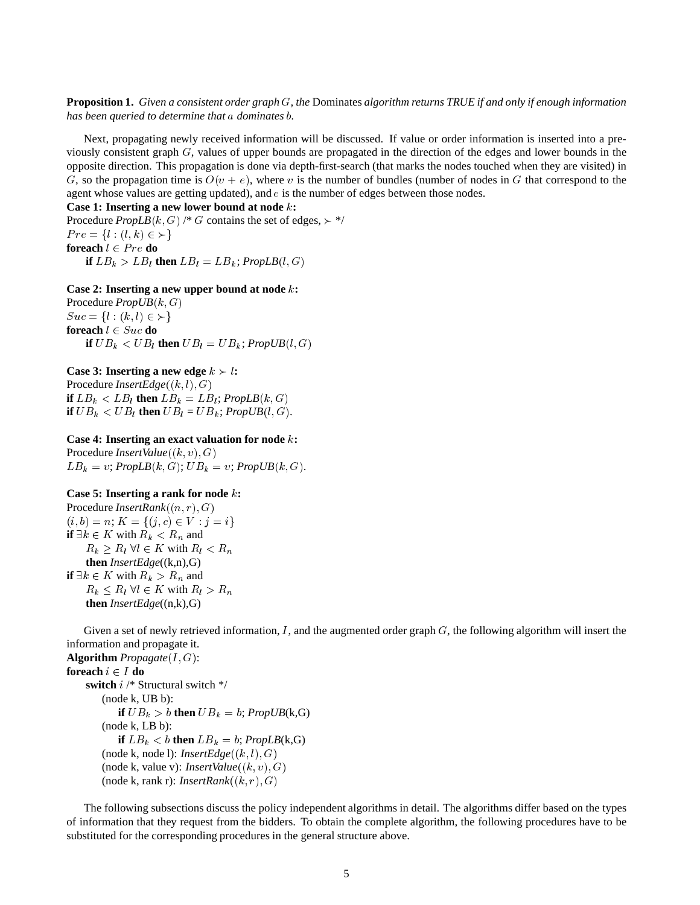**Proposition 1.** *Given a consistent order graph* G*, the* Dominates *algorithm returns TRUE if and only if enough information has been queried to determine that* a *dominates* b*.*

Next, propagating newly received information will be discussed. If value or order information is inserted into a previously consistent graph G, values of upper bounds are propagated in the direction of the edges and lower bounds in the opposite direction. This propagation is done via depth-first-search (that marks the nodes touched when they are visited) in G, so the propagation time is  $O(v + e)$ , where v is the number of bundles (number of nodes in G that correspond to the agent whose values are getting updated), and  $e$  is the number of edges between those nodes.

**Case 1: Inserting a new lower bound at node** <sup>k</sup>**:**

Procedure  $PropLB(k, G)$  /\* G contains the set of edges,  $\succ$  \*/  $Pre = \{l : (l, k) \in \succ\}$  $\text{ch } l \in Pre \textbf{do}$ <br>  $\textbf{f } LB_k > LB_l \textbf{ then } LB_l = LB$ **foreach**  $l \in Pre$  **do if**  $LB_k > LB_l$  **then**  $LB_l = LB_k$ ;  $PropLB(l, G)$ 

#### **Case 2: Inserting a new upper bound at node** k**:**

Procedure  $PropUB(k, G)$  $Suc = \{l : (k, l) \in \succ\}$  $\text{ach } l \in \text{Suc do}$ <br>  $\text{f } UB_k < UB_l \text{ then } UB_l = UI$ **foreach**  $l \in Suc$ **do if**  $UB_k < UB_l$  **then**  $UB_l = UB_k$ ;  $PropUB(l, G)$ 

#### **Case 3: Inserting a new edge**  $k > l$ **:**

Procedure  $InsertEdge((k, l), G)$ **if**  $LB_k < LB_l$  **then**  $LB_k = LB_l$ ;  $PropLB(k, G)$ **if**  $UB_k < UB_l$  **then**  $UB_l = UB_k$ ;  $PropUB(l, G)$ .

#### **Case 4: Inserting an exact valuation for node** <sup>k</sup>**:**

Procedure *InsertValue*((k, v), G)  $LB_k = v; PropLB(k, G); UB_k = v; PropUB(k, G).$ 

#### **Case 5: Inserting a rank for node** <sup>k</sup>**:**

Procedure *InsertRank*((n; r); G)  $(i, b) = n; K = \{(j, c) \in V : j = i\}$ **if**  $\exists k \in K$  with  $R_k < R_n$  and  $R_k \geq R_l \ \forall l \in K$  with  $R_l < R_n$ **then** *InsertEdge*((k,n),G) **if**  $\exists k \in K$  with  $R_k > R_n$  and  $R_k \leq R_l \ \forall l \in K \ \text{with} \ R_l > R_n$ **then** *InsertEdge*((n,k),G)

Given a set of newly retrieved information, I, and the augmented order graph  $G$ , the following algorithm will insert the information and propagate it.

**Algorithm**  $Propagate(I, G)$ : **foreach**  $i \in I$  **do switch** <sup>i</sup> /\* Structural switch \*/ (node k, UB b): **if**  $UB_k > b$  **then**  $UB_k = b$ ;  $PropUB(k, G)$ (node k, LB b): **if**  $LB_k < b$  **then**  $LB_k = b$ ;  $PropLB(k, G)$ (node k, node l):  $InsertEdge((k, l), G)$ (node k, value v): *InsertValue*( $(k, v), G$ ) (node k, rank r): *InsertRank* $((k, r), G)$ 

The following subsections discuss the policy independent algorithms in detail. The algorithms differ based on the types of information that they request from the bidders. To obtain the complete algorithm, the following procedures have to be substituted for the corresponding procedures in the general structure above.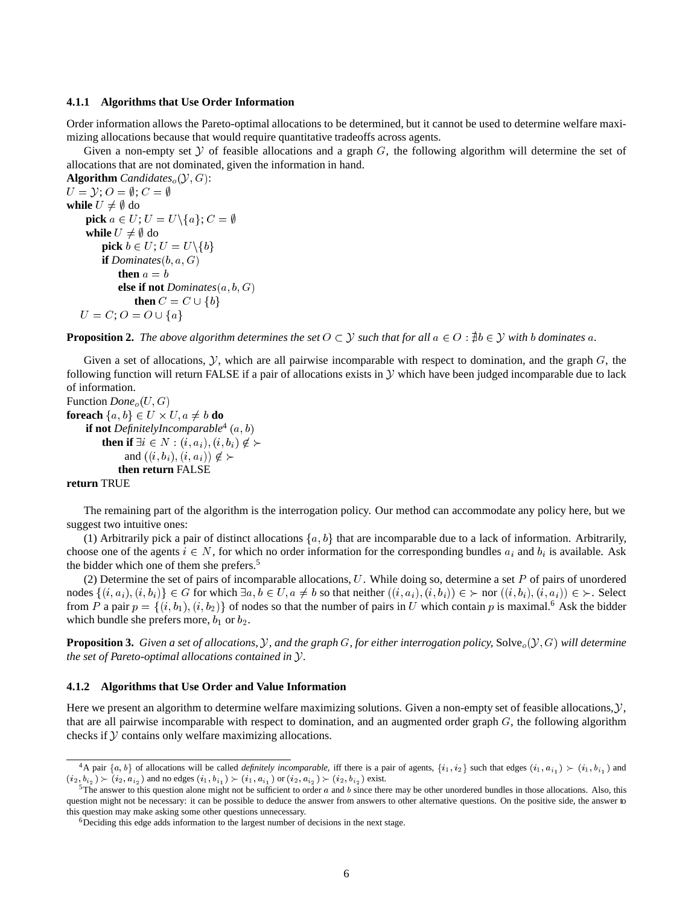#### **4.1.1 Algorithms that Use Order Information**

Order information allows the Pareto-optimal allocations to be determined, but it cannot be used to determine welfare maximizing allocations because that would require quantitative tradeoffs across agents.

Given a non-empty set  $Y$  of feasible allocations and a graph  $G$ , the following algorithm will determine the set of allocations that are not dominated, given the information in hand.

```
Algorithm Candidates<sub>o</sub>(\mathcal{Y}, G):
U = \mathcal{Y}; O = \emptyset; C = \emptysetwhile U \neq \emptyset do
    pick a \in U; U = U \setminus \{a\}; C = \emptysetwhile U \neq \emptyset do
       pick b \in U; U = U \setminus \{b\}= 100if Dominates(b, a, G)then a = b\textbf{else if not } Dominates(a, b, G)then C = C \cup \{b\}a\}U = C; O = O \cup \{a\}
```
**Proposition 2.** The above algorithm determines the set  $O \subset \mathcal{Y}$  such that for all  $a \in O : \nexists b \in \mathcal{Y}$  with b dominates a.

Given a set of allocations,  $\mathcal Y$ , which are all pairwise incomparable with respect to domination, and the graph  $G$ , the following function will return FALSE if a pair of allocations exists in  $\mathcal Y$  which have been judged incomparable due to lack of information.

```
Function Done_o(U, G)foreach \{a, b\} \in U \times U, a \neq b do<br>
if not Definitely Incomparable<sup>4</sup> (a, b)if not DefinitelyIncomparable<sup>4</sup> (a, b)then if \exists i \in N : (i, a_i), (i, b_i) \notin \succand ((i, b_i), (i, a_i)) \notin \succthen return FALSE
return TRUE
```
The remaining part of the algorithm is the interrogation policy. Our method can accommodate any policy here, but we suggest two intuitive ones:

(1) Arbitrarily pick a pair of distinct allocations  $\{a, b\}$  that are incomparable due to a lack of information. Arbitrarily, choose one of the agents  $i \in N$ , for which no order information for the corresponding bundles  $a_i$  and  $b_i$  is available. Ask the bidder which one of them she prefers.<sup>5</sup>

(2) Determine the set of pairs of incomparable allocations,  $U$ . While doing so, determine a set  $P$  of pairs of unordered nodes  $\{(i, a_i), (i, b_i)\}\in G$  for which  $\exists a, b \in U, a \neq b$  so that neither  $((i, a_i), (i, b_i)) \in \succ$  nor  $((i, b_i), (i, a_i)) \in \succ$ . Select from P a pair  $p = \{(i, b_1), (i, b_2)\}\$  of nodes so that the number of pairs in U which contain p is maximal.<sup>6</sup> Ask the bidder which bundle she prefers more,  $b_1$  or  $b_2$ .

**Proposition 3.** Given a set of allocations, y, and the graph G, for either interrogation policy, Solve<sub>o</sub> $(Y, G)$  will determine *the set of Pareto-optimal allocations contained in* Y*.*

#### **4.1.2 Algorithms that Use Order and Value Information**

Here we present an algorithm to determine welfare maximizing solutions. Given a non-empty set of feasible allocations,  $\mathcal{Y}$ , that are all pairwise incomparable with respect to domination, and an augmented order graph  $G$ , the following algorithm checks if  $Y$  contains only welfare maximizing allocations.

<sup>&</sup>lt;sup>4</sup>A pair  $\{a, b\}$  of allocations will be called *definitely incomparable*, iff there is a pair of agents,  $\{i_1, i_2\}$  such that edges  $(i_1, a_{i_1}) \succ (i_1, b_{i_1})$  and  $(i_2, b_{i_2}) \succ (i_2, a_{i_2})$  and no edges  $(i_1, b_{i_1}) \succ (i_1, a_{i_1})$  or  $(i_2, a_{i_2}) \succ (i_2, b_{i_2})$  exist.<br>
<sup>5</sup>The answer to this question alone might not be sufficient to order *a* and *b* since there may be other unordered bu

question might not be necessary: it can be possible to deduce the answer from answers to other alternative questions. On the positive side, the answer to this question may make asking some other questions unnecessary.

<sup>&</sup>lt;sup>6</sup>Deciding this edge adds information to the largest number of decisions in the next stage.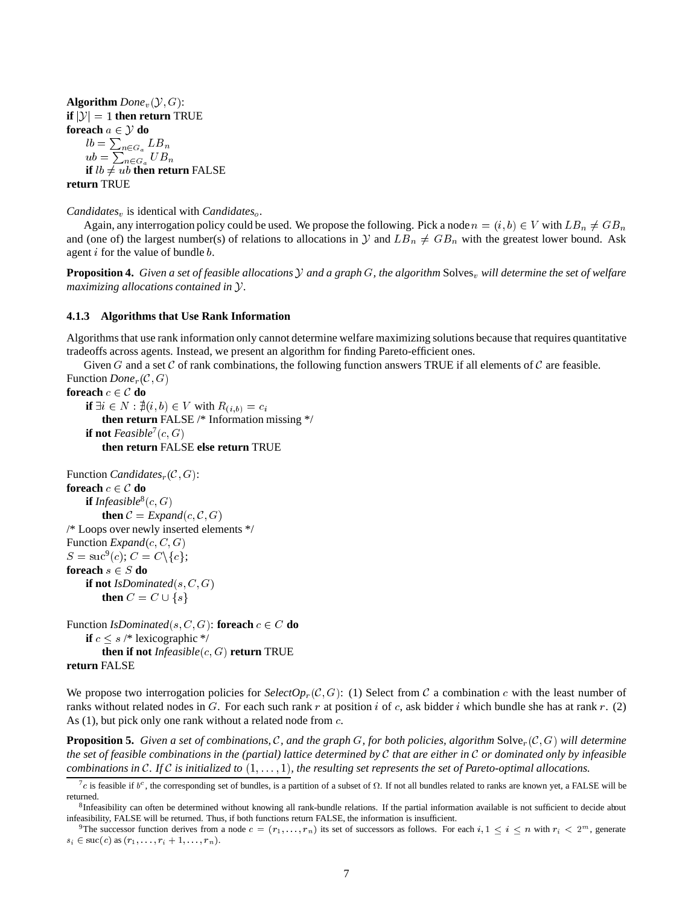**Algorithm** *Done*<sub>v</sub>( $\mathcal{Y}, G$ ):<br>**if**  $|\mathcal{Y}| = 1$  **then return** TRUE **if**  $|\mathcal{Y}| = 1$  **then return** TRUE<br> **foreach**  $a \in \mathcal{Y}$  **do**<br>  $lb = \sum_{n \in G_a} LB_n$ <br>  $ub = \sum_{n \in G_a} UB_n$ **foreach**  $a \in \mathcal{Y}$  **do**<br>  $lb = \sum_{n \in G_a} LB_n$  $ub = \sum_{n \in G_a} U B_n$ **if**  $lb \neq ub$  **then return** FALSE **return** TRUE

*Candidates<sub>v</sub>* is identical with *Candidates<sub>o</sub>*.

Again, any interrogation policy could be used. We propose the following. Pick a node  $n = (i, b) \in V$  with  $LB_n \neq GB_n$ <br>(one of) the largest number(s) of relations to allocations in  $\mathcal{Y}$  and  $LB_n \neq GB_n$  with the greatest lower and (one of) the largest number(s) of relations to allocations in  $Y$  and  $LB_n \neq GB_n$  with the greatest lower bound. Ask agent  $i$  for the value of bundle  $b$ .

**Proposition 4.** Given a set of feasible allocations  $Y$  and a graph  $G$ , the algorithm Solves<sub>v</sub> will determine the set of welfare *maximizing allocations contained in* Y*.*

#### **4.1.3 Algorithms that Use Rank Information**

Algorithms that use rank information only cannot determine welfare maximizing solutions because that requires quantitative tradeoffs across agents. Instead, we present an algorithm for finding Pareto-efficient ones.

Given G and a set C of rank combinations, the following function answers TRUE if all elements of C are feasible.

```
Function Done<sub>r</sub>(C, G)<br>foreach c \in C do
foreach c \in C do<br>
if \exists i \in N : \nexists (i, b) \in V with R_{(i,b)} = c_ithen return FALSE /* Information missing */
     if not Feasible<sup>7</sup>(c, G)
          then return FALSE else return TRUE
```

```
Function Candidates<sub>r</sub>(C, G):<br>foreach c \in C do
foreach c \in \mathcal{C} do<br>
if Infeasible<sup>8</sup>(c, G)
            then C = Expand(c, C, G)/* Loops over newly inserted elements */
Function Expand(c, C, G)S = \text{suc}^9(c); C = C \setminus \{c\};= suc<sup>9</sup>(c); C = C \setminus \{c\};<br>
reach s \in S do<br>
if not IsDominated(s, C, G)<br>
then C = C \cup \{s\}foreach s \in S do
       if not IsDominated(s, C, G)
           then C = C \cup \{s\}\sim \sim \sim \sim \sim
```
Function *IsDominated*(s, C, G): **foreach**  $c \in C$  **do if**  $c \leq s$  /\* lexicographic \*/ **then if not** *Infeasible*(c; G) **return** TRUE **return** FALSE

We propose two interrogation policies for  $SelectOp<sub>r</sub>(C, G)$ : (1) Select from C a combination c with the least number of ranks without related nodes in G. For each such rank r at position i of c, ask bidder i which bundle she has at rank r. (2) As (1), but pick only one rank without a related node from c.

**Proposition 5.** Given a set of combinations, C, and the graph G, for both policies, algorithm  $Solve_r(C, G)$  will determine *the set of feasible combinations in the (partial) lattice determined by* C *that are either in* C *or dominated only by infeasible combinations in* C*. If* C *is initialized to* (1;:::; 1)*, the resulting set represents the set of Pareto-optimal allocations.*

 $7c$  is feasible if  $b^c$ , the corresponding set of bundles, is a partition of a subset of  $\Omega$ . If not all bundles related to ranks are known yet, a FALSE will be returned.

 ${}^{8}$ Infeasibility can often be determined without knowing all rank-bundle relations. If the partial information available is not sufficient to decide about infeasibility, FALSE will be returned. Thus, if both functions return FALSE, the information is insufficient.

<sup>&</sup>lt;sup>9</sup>The successor function derives from a node  $c = (r_1, \ldots, r_n)$  its set of successors as follows. For each  $i, 1 \le i \le n$  with  $r_i < 2^m$ , generate  $s_i \in \text{succ}(c) \text{ as } (r_1,\ldots,r_i+1,\ldots,r_n).$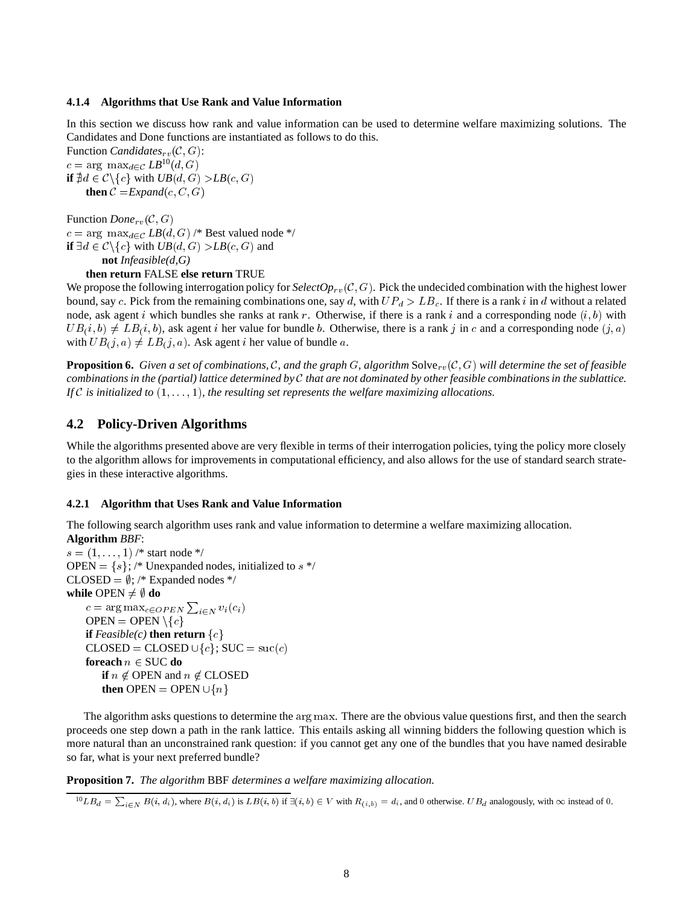#### **4.1.4 Algorithms that Use Rank and Value Information**

In this section we discuss how rank and value information can be used to determine welfare maximizing solutions. The Candidates and Done functions are instantiated as follows to do this.

Function *Candidates<sub>rv</sub>*( $C$ ,  $G$ ):  $c = \arg \max_{d \in \mathcal{C}} LB^{10}(d, G)$ = arg max<sub>d∈C</sub>  $LB^{10}(d, G)$ <br>  $\sharp d \in C \setminus \{c\}$  with  $UB(d, G) > LB$ <br> **then**  $C = Expand(c, C, G)$ **if**  $\nexists d \in C \setminus \{c\}$  with  $UB(d, G) > LB(c, G)$ <br>**then**  $C = Exband(c, C, G)$ **then**  $C = Expand(c, C, G)$ 

Function  $Done_{rv}(\mathcal{C}, G)$  $c = \arg \max_{d \in C} \text{LB}(d, G) \nightharpoonup$  Best valued node \*/<br>
if  $\exists d \in C \setminus \{c\}$  with  $UB(d, G) > LB(c, G)$  and<br>
not *Infeasible*(*d*,*G*)<br>
then return FALSE else return TRUE **if**  $\exists d \in C \setminus \{c\}$  with  $UB(d, G) > LB(c, G)$  and **not** *Infeasible(d,G)*

#### **then return** FALSE **else return** TRUE

We propose the following interrogation policy for  $SelectOp_{rv}(\mathcal{C}, G)$ . Pick the undecided combination with the highest lower bound, say c. Pick from the remaining combinations one, say d, with  $UP_d > LB_c$ . If there is a rank i in d without a related node, ask agent i which bundles she ranks at rank r. Otherwise, if there is a rank i and a corresponding node  $(i, b)$  with  $UB(i, b) \neq LB(i, b)$ , ask agent i her value for bundle b. Otherwise, there is a rank j in c and a corresponding node  $(j, a)$ with  $UB(i, a) \neq LB(j, a)$ . Ask agent *i* her value of bundle *a*.

**Proposition 6.** Given a set of combinations, C, and the graph G, algorithm Solve<sub>rv</sub>(C, G) will determine the set of feasible *combinations in the (partial) lattice determined by* C *that are not dominated by other feasible combinations in the sublattice.* If  $\mathcal C$  *is initialized to*  $(1,\ldots,1)$ *, the resulting set represents the welfare maximizing allocations.* 

### **4.2 Policy-Driven Algorithms**

While the algorithms presented above are very flexible in terms of their interrogation policies, tying the policy more closely to the algorithm allows for improvements in computational efficiency, and also allows for the use of standard search strategies in these interactive algorithms.

#### **4.2.1 Algorithm that Uses Rank and Value Information**

The following search algorithm uses rank and value information to determine a welfare maximizing allocation.

```
Algorithm BBF:
s = (1, \ldots, 1) /* start node */<br>OPEN = {s}; /* Unexpanded<br>CLOSED = \emptyset; /* Expanded n<br>while OPEN \neq \emptyset do
OPEN = \{s\}; /* Unexpanded nodes, initialized to s \times\text{CLOSED} = \emptyset; /* Expanded nodes */
while OPEN \neq \emptyset do
       c i2N vi(ci)
       c = \arg \max_{c \in OPEN} \sum_{i \in N} v_i(c_i)<br>
OPEN = OPEN \setminus \{c\}<br>
if Feasible(c) then return \{c\}<br>
CLOSED = CLOSED \cup \{c\}; SUC = suc(c)<br>
foreach n \in SUC do<br>
if n \notin OPEN and n \notin CLOSED<br>
then OPEN = OPEN \cup \\mathrm{OPEN} = \mathrm{OPEN} \setminus \{c\}if Feasible(c) then return \{c\}foreach n \in \text{SUC} do
             if n \notin OPEN and n \notin CLOSED
             then OPEN \cup \{n\}
```
The algorithm asks questions to determine the  $\arg \max$ . There are the obvious value questions first, and then the search arg max. There are the obvious value questions first, and then the search<br>This entails asking all winning bidders the following question which is<br>if you cannot get any one of the bundles that you have named desirable proceeds one step down a path in the rank lattice. This entails asking all winning bidders the following question which is more natural than an unconstrained rank question: if you cannot get any one of the bundles that you have named desirable so far, what is your next preferred bundle?

**Proposition 7.** *The algorithm* BBF *determines a welfare maximizing allocation.*

 ${}^{10}LB_d = \sum_{i \in N} B(i, d_i)$ , where  $B(i, d_i)$  is  $LB(i, b)$  if  $\exists (i, b) \in V$  with  $R_{(i, b)} = d_i$ , and 0 otherwise.  $UB_d$  analogously, with  $\infty$  instead of 0.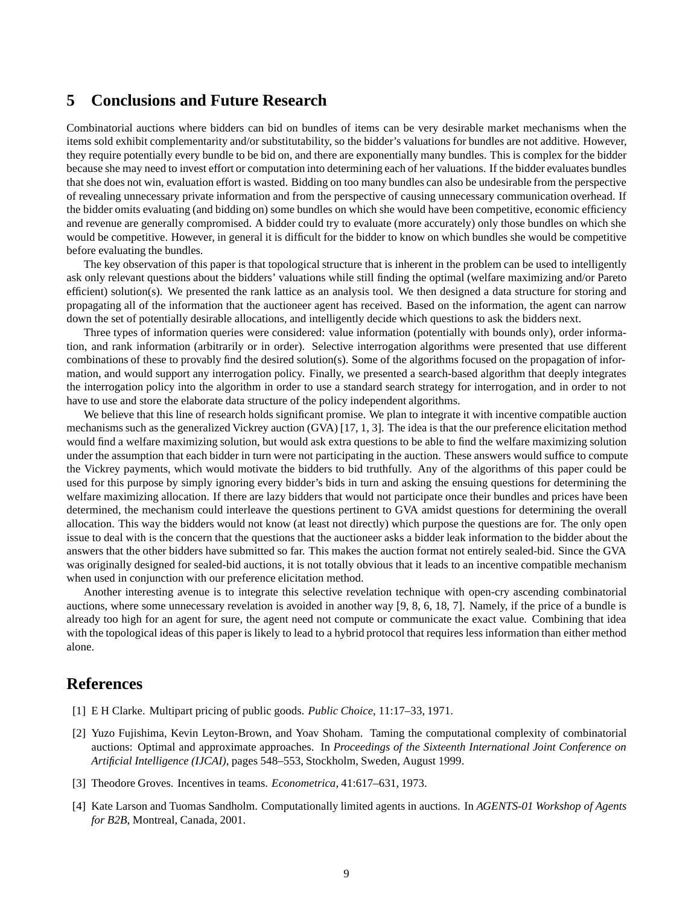## **5 Conclusions and Future Research**

Combinatorial auctions where bidders can bid on bundles of items can be very desirable market mechanisms when the items sold exhibit complementarity and/or substitutability, so the bidder's valuations for bundles are not additive. However, they require potentially every bundle to be bid on, and there are exponentially many bundles. This is complex for the bidder because she may need to invest effort or computation into determining each of her valuations. If the bidder evaluates bundles that she does not win, evaluation effort is wasted. Bidding on too many bundles can also be undesirable from the perspective of revealing unnecessary private information and from the perspective of causing unnecessary communication overhead. If the bidder omits evaluating (and bidding on) some bundles on which she would have been competitive, economic efficiency and revenue are generally compromised. A bidder could try to evaluate (more accurately) only those bundles on which she would be competitive. However, in general it is difficult for the bidder to know on which bundles she would be competitive before evaluating the bundles.

The key observation of this paper is that topological structure that is inherent in the problem can be used to intelligently ask only relevant questions about the bidders' valuations while still finding the optimal (welfare maximizing and/or Pareto efficient) solution(s). We presented the rank lattice as an analysis tool. We then designed a data structure for storing and propagating all of the information that the auctioneer agent has received. Based on the information, the agent can narrow down the set of potentially desirable allocations, and intelligently decide which questions to ask the bidders next.

Three types of information queries were considered: value information (potentially with bounds only), order information, and rank information (arbitrarily or in order). Selective interrogation algorithms were presented that use different combinations of these to provably find the desired solution(s). Some of the algorithms focused on the propagation of information, and would support any interrogation policy. Finally, we presented a search-based algorithm that deeply integrates the interrogation policy into the algorithm in order to use a standard search strategy for interrogation, and in order to not have to use and store the elaborate data structure of the policy independent algorithms.

We believe that this line of research holds significant promise. We plan to integrate it with incentive compatible auction mechanisms such as the generalized Vickrey auction (GVA) [17, 1, 3]. The idea is that the our preference elicitation method would find a welfare maximizing solution, but would ask extra questions to be able to find the welfare maximizing solution under the assumption that each bidder in turn were not participating in the auction. These answers would suffice to compute the Vickrey payments, which would motivate the bidders to bid truthfully. Any of the algorithms of this paper could be used for this purpose by simply ignoring every bidder's bids in turn and asking the ensuing questions for determining the welfare maximizing allocation. If there are lazy bidders that would not participate once their bundles and prices have been determined, the mechanism could interleave the questions pertinent to GVA amidst questions for determining the overall allocation. This way the bidders would not know (at least not directly) which purpose the questions are for. The only open issue to deal with is the concern that the questions that the auctioneer asks a bidder leak information to the bidder about the answers that the other bidders have submitted so far. This makes the auction format not entirely sealed-bid. Since the GVA was originally designed for sealed-bid auctions, it is not totally obvious that it leads to an incentive compatible mechanism when used in conjunction with our preference elicitation method.

Another interesting avenue is to integrate this selective revelation technique with open-cry ascending combinatorial auctions, where some unnecessary revelation is avoided in another way [9, 8, 6, 18, 7]. Namely, if the price of a bundle is already too high for an agent for sure, the agent need not compute or communicate the exact value. Combining that idea with the topological ideas of this paper is likely to lead to a hybrid protocol that requires less information than either method alone.

## **References**

- [1] E H Clarke. Multipart pricing of public goods. *Public Choice*, 11:17–33, 1971.
- [2] Yuzo Fujishima, Kevin Leyton-Brown, and Yoav Shoham. Taming the computational complexity of combinatorial auctions: Optimal and approximate approaches. In *Proceedings of the Sixteenth International Joint Conference on Artificial Intelligence (IJCAI)*, pages 548–553, Stockholm, Sweden, August 1999.
- [3] Theodore Groves. Incentives in teams. *Econometrica*, 41:617–631, 1973.
- [4] Kate Larson and Tuomas Sandholm. Computationally limited agents in auctions. In *AGENTS-01 Workshop of Agents for B2B*, Montreal, Canada, 2001.